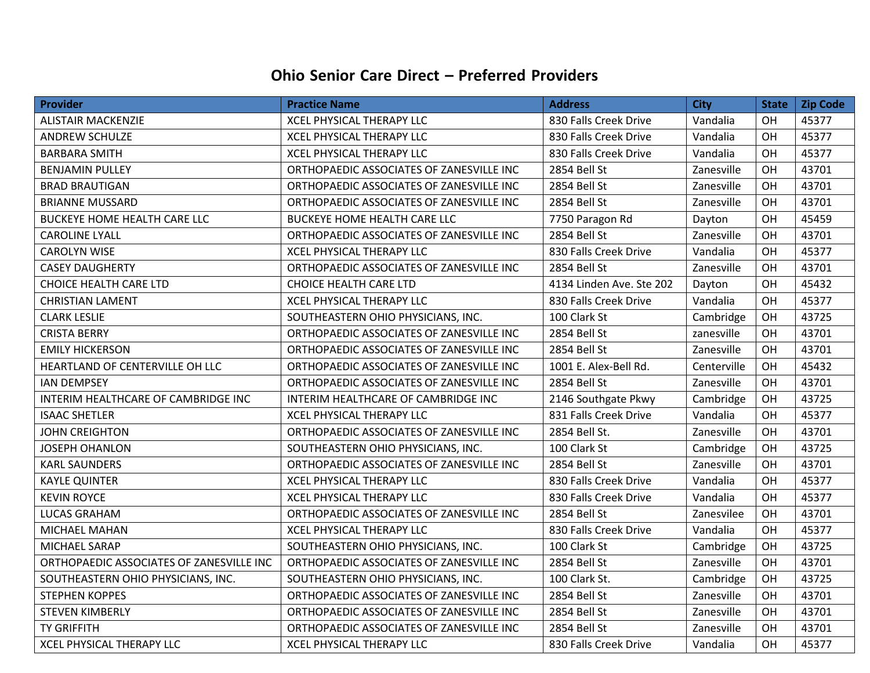## **Ohio Senior Care Direct – Preferred Providers**

| <b>Provider</b>                          | <b>Practice Name</b>                     | <b>Address</b>           | <b>City</b> | <b>State</b> | Zip Code |
|------------------------------------------|------------------------------------------|--------------------------|-------------|--------------|----------|
| <b>ALISTAIR MACKENZIE</b>                | <b>XCEL PHYSICAL THERAPY LLC</b>         | 830 Falls Creek Drive    | Vandalia    | OH           | 45377    |
| <b>ANDREW SCHULZE</b>                    | XCEL PHYSICAL THERAPY LLC                | 830 Falls Creek Drive    | Vandalia    | OH           | 45377    |
| <b>BARBARA SMITH</b>                     | <b>XCEL PHYSICAL THERAPY LLC</b>         | 830 Falls Creek Drive    | Vandalia    | OH           | 45377    |
| <b>BENJAMIN PULLEY</b>                   | ORTHOPAEDIC ASSOCIATES OF ZANESVILLE INC | 2854 Bell St             | Zanesville  | OH           | 43701    |
| <b>BRAD BRAUTIGAN</b>                    | ORTHOPAEDIC ASSOCIATES OF ZANESVILLE INC | 2854 Bell St             | Zanesville  | OH           | 43701    |
| <b>BRIANNE MUSSARD</b>                   | ORTHOPAEDIC ASSOCIATES OF ZANESVILLE INC | 2854 Bell St             | Zanesville  | OH           | 43701    |
| <b>BUCKEYE HOME HEALTH CARE LLC</b>      | <b>BUCKEYE HOME HEALTH CARE LLC</b>      | 7750 Paragon Rd          | Dayton      | OH           | 45459    |
| <b>CAROLINE LYALL</b>                    | ORTHOPAEDIC ASSOCIATES OF ZANESVILLE INC | 2854 Bell St             | Zanesville  | OH           | 43701    |
| <b>CAROLYN WISE</b>                      | <b>XCEL PHYSICAL THERAPY LLC</b>         | 830 Falls Creek Drive    | Vandalia    | OH           | 45377    |
| <b>CASEY DAUGHERTY</b>                   | ORTHOPAEDIC ASSOCIATES OF ZANESVILLE INC | 2854 Bell St             | Zanesville  | OH           | 43701    |
| <b>CHOICE HEALTH CARE LTD</b>            | <b>CHOICE HEALTH CARE LTD</b>            | 4134 Linden Ave. Ste 202 | Dayton      | OH           | 45432    |
| <b>CHRISTIAN LAMENT</b>                  | <b>XCEL PHYSICAL THERAPY LLC</b>         | 830 Falls Creek Drive    | Vandalia    | OH           | 45377    |
| <b>CLARK LESLIE</b>                      | SOUTHEASTERN OHIO PHYSICIANS, INC.       | 100 Clark St             | Cambridge   | OH           | 43725    |
| <b>CRISTA BERRY</b>                      | ORTHOPAEDIC ASSOCIATES OF ZANESVILLE INC | 2854 Bell St             | zanesville  | OH           | 43701    |
| <b>EMILY HICKERSON</b>                   | ORTHOPAEDIC ASSOCIATES OF ZANESVILLE INC | 2854 Bell St             | Zanesville  | OH           | 43701    |
| HEARTLAND OF CENTERVILLE OH LLC          | ORTHOPAEDIC ASSOCIATES OF ZANESVILLE INC | 1001 E. Alex-Bell Rd.    | Centerville | OH           | 45432    |
| <b>IAN DEMPSEY</b>                       | ORTHOPAEDIC ASSOCIATES OF ZANESVILLE INC | 2854 Bell St             | Zanesville  | OH           | 43701    |
| INTERIM HEALTHCARE OF CAMBRIDGE INC      | INTERIM HEALTHCARE OF CAMBRIDGE INC      | 2146 Southgate Pkwy      | Cambridge   | OH           | 43725    |
| <b>ISAAC SHETLER</b>                     | <b>XCEL PHYSICAL THERAPY LLC</b>         | 831 Falls Creek Drive    | Vandalia    | OH           | 45377    |
| <b>JOHN CREIGHTON</b>                    | ORTHOPAEDIC ASSOCIATES OF ZANESVILLE INC | 2854 Bell St.            | Zanesville  | OH           | 43701    |
| <b>JOSEPH OHANLON</b>                    | SOUTHEASTERN OHIO PHYSICIANS, INC.       | 100 Clark St             | Cambridge   | OH           | 43725    |
| <b>KARL SAUNDERS</b>                     | ORTHOPAEDIC ASSOCIATES OF ZANESVILLE INC | 2854 Bell St             | Zanesville  | OH           | 43701    |
| <b>KAYLE QUINTER</b>                     | XCEL PHYSICAL THERAPY LLC                | 830 Falls Creek Drive    | Vandalia    | OH           | 45377    |
| <b>KEVIN ROYCE</b>                       | <b>XCEL PHYSICAL THERAPY LLC</b>         | 830 Falls Creek Drive    | Vandalia    | OH           | 45377    |
| <b>LUCAS GRAHAM</b>                      | ORTHOPAEDIC ASSOCIATES OF ZANESVILLE INC | 2854 Bell St             | Zanesvilee  | OH           | 43701    |
| <b>MICHAEL MAHAN</b>                     | <b>XCEL PHYSICAL THERAPY LLC</b>         | 830 Falls Creek Drive    | Vandalia    | OH           | 45377    |
| MICHAEL SARAP                            | SOUTHEASTERN OHIO PHYSICIANS, INC.       | 100 Clark St             | Cambridge   | OH           | 43725    |
| ORTHOPAEDIC ASSOCIATES OF ZANESVILLE INC | ORTHOPAEDIC ASSOCIATES OF ZANESVILLE INC | 2854 Bell St             | Zanesville  | OH           | 43701    |
| SOUTHEASTERN OHIO PHYSICIANS, INC.       | SOUTHEASTERN OHIO PHYSICIANS, INC.       | 100 Clark St.            | Cambridge   | OH           | 43725    |
| <b>STEPHEN KOPPES</b>                    | ORTHOPAEDIC ASSOCIATES OF ZANESVILLE INC | 2854 Bell St             | Zanesville  | OH           | 43701    |
| <b>STEVEN KIMBERLY</b>                   | ORTHOPAEDIC ASSOCIATES OF ZANESVILLE INC | 2854 Bell St             | Zanesville  | OH           | 43701    |
| TY GRIFFITH                              | ORTHOPAEDIC ASSOCIATES OF ZANESVILLE INC | 2854 Bell St             | Zanesville  | OH           | 43701    |
| <b>XCEL PHYSICAL THERAPY LLC</b>         | <b>XCEL PHYSICAL THERAPY LLC</b>         | 830 Falls Creek Drive    | Vandalia    | OH           | 45377    |